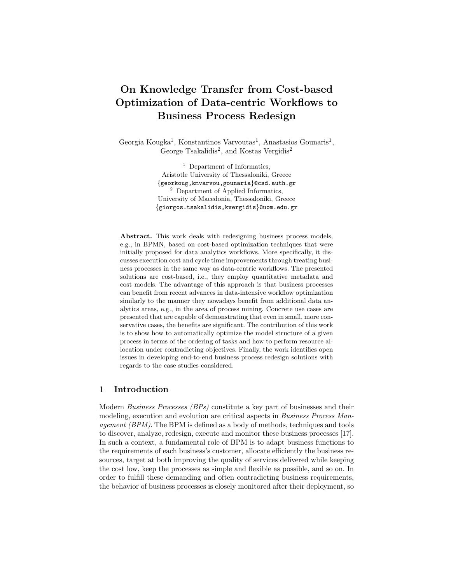# On Knowledge Transfer from Cost-based Optimization of Data-centric Workflows to Business Process Redesign

Georgia Kougka<sup>1</sup>, Konstantinos Varvoutas<sup>1</sup>, Anastasios Gounaris<sup>1</sup>, George Tsakalidis<sup>2</sup>, and Kostas Vergidis<sup>2</sup>

> <sup>1</sup> Department of Informatics, Aristotle University of Thessaloniki, Greece {georkoug,kmvarvou,gounaria}@csd.auth.gr <sup>2</sup> Department of Applied Informatics, University of Macedonia, Thessaloniki, Greece {giorgos.tsakalidis,kvergidis}@uom.edu.gr

Abstract. This work deals with redesigning business process models, e.g., in BPMN, based on cost-based optimization techniques that were initially proposed for data analytics workflows. More specifically, it discusses execution cost and cycle time improvements through treating business processes in the same way as data-centric workflows. The presented solutions are cost-based, i.e., they employ quantitative metadata and cost models. The advantage of this approach is that business processes can benefit from recent advances in data-intensive workflow optimization similarly to the manner they nowadays benefit from additional data analytics areas, e.g., in the area of process mining. Concrete use cases are presented that are capable of demonstrating that even in small, more conservative cases, the benefits are significant. The contribution of this work is to show how to automatically optimize the model structure of a given process in terms of the ordering of tasks and how to perform resource allocation under contradicting objectives. Finally, the work identifies open issues in developing end-to-end business process redesign solutions with regards to the case studies considered.

# 1 Introduction

Modern Business Processes (BPs) constitute a key part of businesses and their modeling, execution and evolution are critical aspects in Business Process Management (BPM). The BPM is defined as a body of methods, techniques and tools to discover, analyze, redesign, execute and monitor these business processes [17]. In such a context, a fundamental role of BPM is to adapt business functions to the requirements of each business's customer, allocate efficiently the business resources, target at both improving the quality of services delivered while keeping the cost low, keep the processes as simple and flexible as possible, and so on. In order to fulfill these demanding and often contradicting business requirements, the behavior of business processes is closely monitored after their deployment, so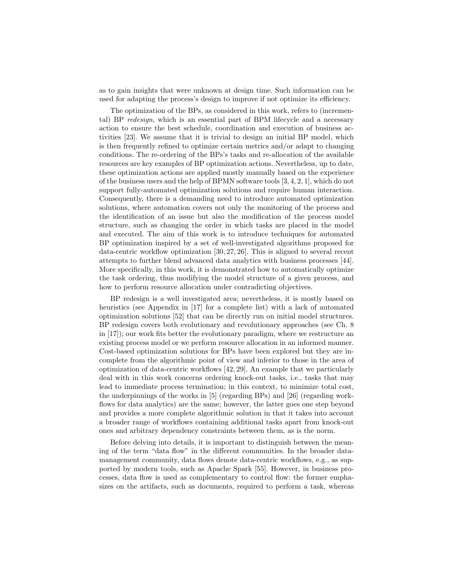as to gain insights that were unknown at design time. Such information can be used for adapting the process's design to improve if not optimize its efficiency.

The optimization of the BPs, as considered in this work, refers to (incremental) BP redesign, which is an essential part of BPM lifecycle and a necessary action to ensure the best schedule, coordination and execution of business activities [23]. We assume that it is trivial to design an initial BP model, which is then frequently refined to optimize certain metrics and/or adapt to changing conditions. The re-ordering of the BPs's tasks and re-allocation of the available resources are key examples of BP optimization actions. Nevertheless, up to date, these optimization actions are applied mostly manually based on the experience of the business users and the help of BPMN software tools [3, 4, 2, 1], which do not support fully-automated optimization solutions and require human interaction. Consequently, there is a demanding need to introduce automated optimization solutions, where automation covers not only the monitoring of the process and the identification of an issue but also the modification of the process model structure, such as changing the order in which tasks are placed in the model and executed. The aim of this work is to introduce techniques for automated BP optimization inspired by a set of well-investigated algorithms proposed for data-centric workflow optimization [30, 27, 26]. This is aligned to several recent attempts to further blend advanced data analytics with business processes [44]. More specifically, in this work, it is demonstrated how to automatically optimize the task ordering, thus modifying the model structure of a given process, and how to perform resource allocation under contradicting objectives.

BP redesign is a well investigated area; nevertheless, it is mostly based on heuristics (see Appendix in [17] for a complete list) with a lack of automated optimization solutions [52] that can be directly run on initial model structures. BP redesign covers both evolutionary and revolutionary approaches (see Ch. 8 in [17]); our work fits better the evolutionary paradigm, where we restructure an existing process model or we perform resource allocation in an informed manner. Cost-based optimization solutions for BPs have been explored but they are incomplete from the algorithmic point of view and inferior to those in the area of optimization of data-centric workflows [42, 29]. An example that we particularly deal with in this work concerns ordering knock-out tasks, i.e., tasks that may lead to immediate process termination; in this context, to minimize total cost, the underpinnings of the works in [5] (regarding BPs) and [26] (regarding workflows for data analytics) are the same; however, the latter goes one step beyond and provides a more complete algorithmic solution in that it takes into account a broader range of workflows containing additional tasks apart from knock-out ones and arbitrary dependency constraints between them, as is the norm.

Before delving into details, it is important to distinguish between the meaning of the term "data flow" in the different communities. In the broader datamanagement community, data flows denote data-centric workflows, e.g., as supported by modern tools, such as Apache Spark [55]. However, in business processes, data flow is used as complementary to control flow: the former emphasizes on the artifacts, such as documents, required to perform a task, whereas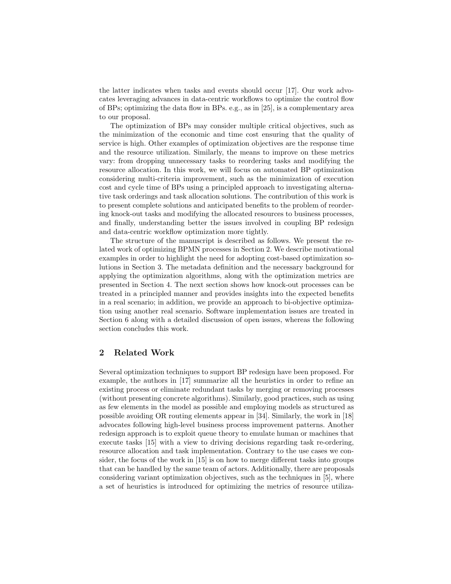the latter indicates when tasks and events should occur [17]. Our work advocates leveraging advances in data-centric workflows to optimize the control flow of BPs; optimizing the data flow in BPs. e.g., as in [25], is a complementary area to our proposal.

The optimization of BPs may consider multiple critical objectives, such as the minimization of the economic and time cost ensuring that the quality of service is high. Other examples of optimization objectives are the response time and the resource utilization. Similarly, the means to improve on these metrics vary: from dropping unnecessary tasks to reordering tasks and modifying the resource allocation. In this work, we will focus on automated BP optimization considering multi-criteria improvement, such as the minimization of execution cost and cycle time of BPs using a principled approach to investigating alternative task orderings and task allocation solutions. The contribution of this work is to present complete solutions and anticipated benefits to the problem of reordering knock-out tasks and modifying the allocated resources to business processes, and finally, understanding better the issues involved in coupling BP redesign and data-centric workflow optimization more tightly.

The structure of the manuscript is described as follows. We present the related work of optimizing BPMN processes in Section 2. We describe motivational examples in order to highlight the need for adopting cost-based optimization solutions in Section 3. The metadata definition and the necessary background for applying the optimization algorithms, along with the optimization metrics are presented in Section 4. The next section shows how knock-out processes can be treated in a principled manner and provides insights into the expected benefits in a real scenario; in addition, we provide an approach to bi-objective optimization using another real scenario. Software implementation issues are treated in Section 6 along with a detailed discussion of open issues, whereas the following section concludes this work.

# 2 Related Work

Several optimization techniques to support BP redesign have been proposed. For example, the authors in [17] summarize all the heuristics in order to refine an existing process or eliminate redundant tasks by merging or removing processes (without presenting concrete algorithms). Similarly, good practices, such as using as few elements in the model as possible and employing models as structured as possible avoiding OR routing elements appear in [34]. Similarly, the work in [18] advocates following high-level business process improvement patterns. Another redesign approach is to exploit queue theory to emulate human or machines that execute tasks [15] with a view to driving decisions regarding task re-ordering, resource allocation and task implementation. Contrary to the use cases we consider, the focus of the work in [15] is on how to merge different tasks into groups that can be handled by the same team of actors. Additionally, there are proposals considering variant optimization objectives, such as the techniques in [5], where a set of heuristics is introduced for optimizing the metrics of resource utiliza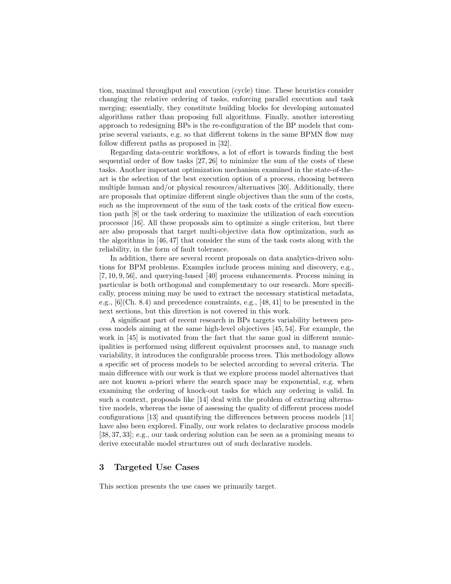tion, maximal throughput and execution (cycle) time. These heuristics consider changing the relative ordering of tasks, enforcing parallel execution and task merging; essentially, they constitute building blocks for developing automated algorithms rather than proposing full algorithms. Finally, another interesting approach to redesigning BPs is the re-configuration of the BP models that comprise several variants, e.g. so that different tokens in the same BPMN flow may follow different paths as proposed in [32].

Regarding data-centric workflows, a lot of effort is towards finding the best sequential order of flow tasks [27, 26] to minimize the sum of the costs of these tasks. Another important optimization mechanism examined in the state-of-theart is the selection of the best execution option of a process, choosing between multiple human and/or physical resources/alternatives [30]. Additionally, there are proposals that optimize different single objectives than the sum of the costs, such as the improvement of the sum of the task costs of the critical flow execution path [8] or the task ordering to maximize the utilization of each execution processor [16]. All these proposals aim to optimize a single criterion, but there are also proposals that target multi-objective data flow optimization, such as the algorithms in [46, 47] that consider the sum of the task costs along with the reliability, in the form of fault tolerance.

In addition, there are several recent proposals on data analytics-driven solutions for BPM problems. Examples include process mining and discovery, e.g., [7, 10, 9, 56], and querying-based [40] process enhancements. Process mining in particular is both orthogonal and complementary to our research. More specifically, process mining may be used to extract the necessary statistical metadata, e.g., [6](Ch. 8.4) and precedence constraints, e.g., [48, 41] to be presented in the next sections, but this direction is not covered in this work.

A significant part of recent research in BPs targets variability between process models aiming at the same high-level objectives [45, 54]. For example, the work in [45] is motivated from the fact that the same goal in different municipalities is performed using different equivalent processes and, to manage such variability, it introduces the configurable process trees. This methodology allows a specific set of process models to be selected according to several criteria. The main difference with our work is that we explore process model alternatives that are not known a-priori where the search space may be exponential, e.g. when examining the ordering of knock-out tasks for which any ordering is valid. In such a context, proposals like [14] deal with the problem of extracting alternative models, whereas the issue of assessing the quality of different process model configurations [13] and quantifying the differences between process models [11] have also been explored. Finally, our work relates to declarative process models [38, 37, 33]; e.g., our task ordering solution can be seen as a promising means to derive executable model structures out of such declarative models.

## 3 Targeted Use Cases

This section presents the use cases we primarily target.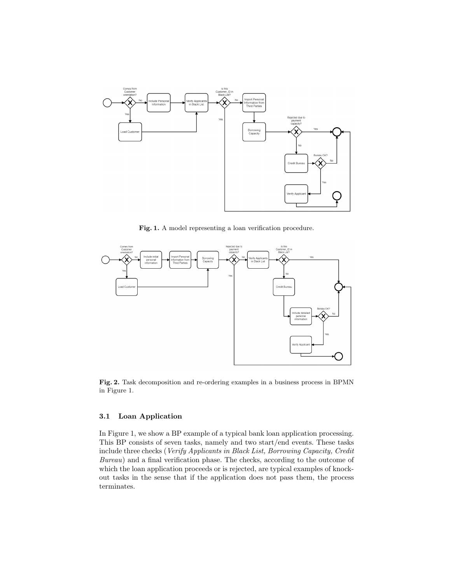

Fig. 1. A model representing a loan verification procedure.



Fig. 2. Task decomposition and re-ordering examples in a business process in BPMN in Figure 1.

#### 3.1 Loan Application

In Figure 1, we show a BP example of a typical bank loan application processing. This BP consists of seven tasks, namely and two start/end events. These tasks include three checks (Verify Applicants in Black List, Borrowing Capacity, Credit Bureau) and a final verification phase. The checks, according to the outcome of which the loan application proceeds or is rejected, are typical examples of knockout tasks in the sense that if the application does not pass them, the process terminates.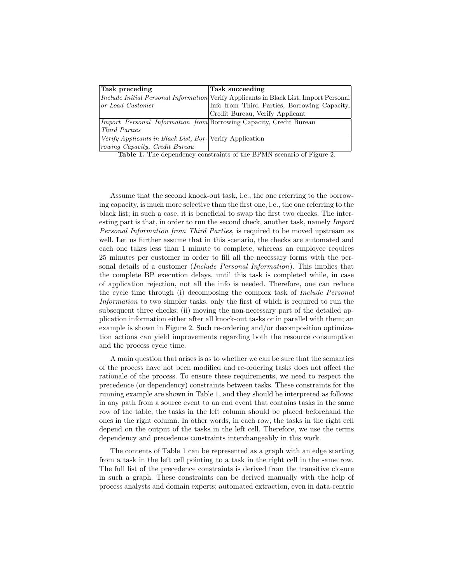| Task preceding                                                            | Task succeeding                                                                       |
|---------------------------------------------------------------------------|---------------------------------------------------------------------------------------|
|                                                                           | Include Initial Personal Information Verify Applicants in Black List, Import Personal |
| or Load Customer                                                          | Info from Third Parties, Borrowing Capacity,                                          |
|                                                                           | Credit Bureau, Verify Applicant                                                       |
| <i>Import Personal Information from</i> Borrowing Capacity, Credit Bureau |                                                                                       |
| <b>Third Parties</b>                                                      |                                                                                       |
| <i>Verify Applicants in Black List, Bor-</i> Verify Application           |                                                                                       |
| rowing Capacity, Credit Bureau                                            |                                                                                       |

Table 1. The dependency constraints of the BPMN scenario of Figure 2.

Assume that the second knock-out task, i.e., the one referring to the borrowing capacity, is much more selective than the first one, i.e., the one referring to the black list; in such a case, it is beneficial to swap the first two checks. The interesting part is that, in order to run the second check, another task, namely Import Personal Information from Third Parties, is required to be moved upstream as well. Let us further assume that in this scenario, the checks are automated and each one takes less than 1 minute to complete, whereas an employee requires 25 minutes per customer in order to fill all the necessary forms with the personal details of a customer *(Include Personal Information)*. This implies that the complete BP execution delays, until this task is completed while, in case of application rejection, not all the info is needed. Therefore, one can reduce the cycle time through (i) decomposing the complex task of Include Personal Information to two simpler tasks, only the first of which is required to run the subsequent three checks; (ii) moving the non-necessary part of the detailed application information either after all knock-out tasks or in parallel with them; an example is shown in Figure 2. Such re-ordering and/or decomposition optimization actions can yield improvements regarding both the resource consumption and the process cycle time.

A main question that arises is as to whether we can be sure that the semantics of the process have not been modified and re-ordering tasks does not affect the rationale of the process. To ensure these requirements, we need to respect the precedence (or dependency) constraints between tasks. These constraints for the running example are shown in Table 1, and they should be interpreted as follows: in any path from a source event to an end event that contains tasks in the same row of the table, the tasks in the left column should be placed beforehand the ones in the right column. In other words, in each row, the tasks in the right cell depend on the output of the tasks in the left cell. Therefore, we use the terms dependency and precedence constraints interchangeably in this work.

The contents of Table 1 can be represented as a graph with an edge starting from a task in the left cell pointing to a task in the right cell in the same row. The full list of the precedence constraints is derived from the transitive closure in such a graph. These constraints can be derived manually with the help of process analysts and domain experts; automated extraction, even in data-centric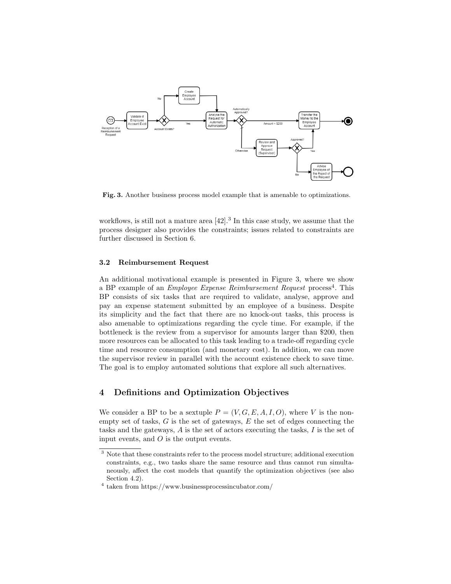

Fig. 3. Another business process model example that is amenable to optimizations.

workflows, is still not a mature area  $[42]$ .<sup>3</sup> In this case study, we assume that the process designer also provides the constraints; issues related to constraints are further discussed in Section 6.

#### 3.2 Reimbursement Request

An additional motivational example is presented in Figure 3, where we show a BP example of an *Employee Expense Reimbursement Request* process<sup>4</sup>. This BP consists of six tasks that are required to validate, analyse, approve and pay an expense statement submitted by an employee of a business. Despite its simplicity and the fact that there are no knock-out tasks, this process is also amenable to optimizations regarding the cycle time. For example, if the bottleneck is the review from a supervisor for amounts larger than \$200, then more resources can be allocated to this task leading to a trade-off regarding cycle time and resource consumption (and monetary cost). In addition, we can move the supervisor review in parallel with the account existence check to save time. The goal is to employ automated solutions that explore all such alternatives.

## 4 Definitions and Optimization Objectives

We consider a BP to be a sextuple  $P = (V, G, E, A, I, O)$ , where V is the nonempty set of tasks,  $G$  is the set of gateways,  $E$  the set of edges connecting the tasks and the gateways,  $A$  is the set of actors executing the tasks,  $I$  is the set of input events, and  $O$  is the output events.

<sup>&</sup>lt;sup>3</sup> Note that these constraints refer to the process model structure; additional execution constraints, e.g., two tasks share the same resource and thus cannot run simultaneously, affect the cost models that quantify the optimization objectives (see also Section 4.2).

<sup>4</sup> taken from https://www.businessprocessincubator.com/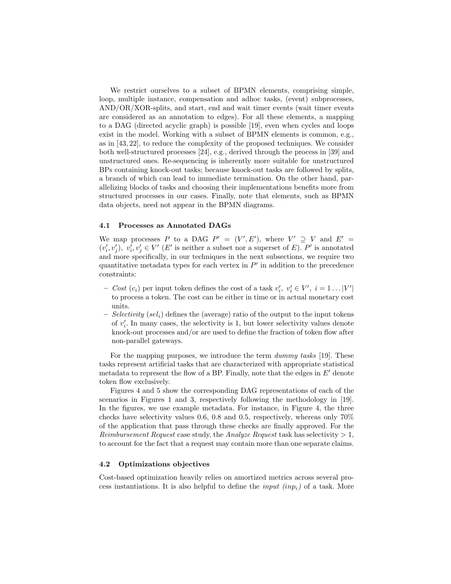We restrict ourselves to a subset of BPMN elements, comprising simple, loop, multiple instance, compensation and adhoc tasks, (event) subprocesses, AND/OR/XOR-splits, and start, end and wait timer events (wait timer events are considered as an annotation to edges). For all these elements, a mapping to a DAG (directed acyclic graph) is possible [19], even when cycles and loops exist in the model. Working with a subset of BPMN elements is common, e.g., as in [43, 22], to reduce the complexity of the proposed techniques. We consider both well-structured processes [24], e.g., derived through the process in [39] and unstructured ones. Re-sequencing is inherently more suitable for unstructured BPs containing knock-out tasks; because knock-out tasks are followed by splits, a branch of which can lead to immediate termination. On the other hand, parallelizing blocks of tasks and choosing their implementations benefits more from structured processes in our cases. Finally, note that elements, such as BPMN data objects, need not appear in the BPMN diagrams.

#### 4.1 Processes as Annotated DAGs

We map processes P to a DAG  $P' = (V', E')$ , where  $V' \supseteq V$  and  $E' =$  $(v'_i, v'_j), v'_i, v'_j \in V'$  (E' is neither a subset nor a superset of E). P' is annotated and more specifically, in our techniques in the next subsections, we require two quantitative metadata types for each vertex in  $P'$  in addition to the precedence constraints:

- Cost  $(c_i)$  per input token defines the cost of a task  $v'_i, v'_i \in V', i = 1...|V'|$ to process a token. The cost can be either in time or in actual monetary cost units.
- Selectivity  $(self_i)$  defines the (average) ratio of the output to the input tokens of  $v_i'$ . In many cases, the selectivity is 1, but lower selectivity values denote knock-out processes and/or are used to define the fraction of token flow after non-parallel gateways.

For the mapping purposes, we introduce the term dummy tasks [19]. These tasks represent artificial tasks that are characterized with appropriate statistical metadata to represent the flow of a BP. Finally, note that the edges in  $E'$  denote token flow exclusively.

Figures 4 and 5 show the corresponding DAG representations of each of the scenarios in Figures 1 and 3, respectively following the methodology in [19]. In the figures, we use example metadata. For instance, in Figure 4, the three checks have selectivity values 0.6, 0.8 and 0.5, respectively, whereas only 70% of the application that pass through these checks are finally approved. For the Reimbursement Request case study, the Analyze Request task has selectivity  $> 1$ , to account for the fact that a request may contain more than one separate claims.

## 4.2 Optimizations objectives

Cost-based optimization heavily relies on amortized metrics across several process instantiations. It is also helpful to define the *input (inp<sub>i</sub>*) of a task. More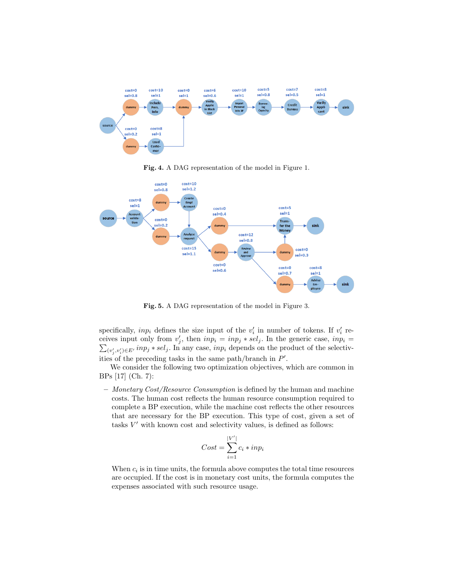

Fig. 4. A DAG representation of the model in Figure 1.



Fig. 5. A DAG representation of the model in Figure 3.

specifically,  $inp_i$  defines the size input of the  $v'_i$  in number of tokens. If  $v'_i$  receives input only from  $v'_j$ , then  $inp_i = inp_j * sel_j$ . In the generic case,  $inp_i =$  $\sum_{(v'_j, v'_i) \in E'} inp_j * sel_j$ . In any case,  $inp_i$  depends on the product of the selectivities of the preceding tasks in the same path/branch in  $P'$ .

We consider the following two optimization objectives, which are common in BPs [17] (Ch. 7):

– Monetary Cost/Resource Consumption is defined by the human and machine costs. The human cost reflects the human resource consumption required to complete a BP execution, while the machine cost reflects the other resources that are necessary for the BP execution. This type of cost, given a set of tasks  $V'$  with known cost and selectivity values, is defined as follows:

$$
Cost = \sum_{i=1}^{|V'|} c_i * inp_i
$$

When  $c_i$  is in time units, the formula above computes the total time resources are occupied. If the cost is in monetary cost units, the formula computes the expenses associated with such resource usage.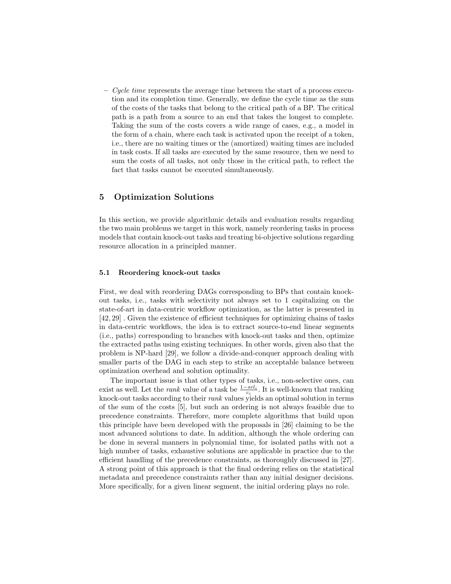$-$  Cycle time represents the average time between the start of a process execution and its completion time. Generally, we define the cycle time as the sum of the costs of the tasks that belong to the critical path of a BP. The critical path is a path from a source to an end that takes the longest to complete. Taking the sum of the costs covers a wide range of cases, e.g., a model in the form of a chain, where each task is activated upon the receipt of a token, i.e., there are no waiting times or the (amortized) waiting times are included in task costs. If all tasks are executed by the same resource, then we need to sum the costs of all tasks, not only those in the critical path, to reflect the fact that tasks cannot be executed simultaneously.

## 5 Optimization Solutions

In this section, we provide algorithmic details and evaluation results regarding the two main problems we target in this work, namely reordering tasks in process models that contain knock-out tasks and treating bi-objective solutions regarding resource allocation in a principled manner.

#### 5.1 Reordering knock-out tasks

First, we deal with reordering DAGs corresponding to BPs that contain knockout tasks, i.e., tasks with selectivity not always set to 1 capitalizing on the state-of-art in data-centric workflow optimization, as the latter is presented in [42, 29] . Given the existence of efficient techniques for optimizing chains of tasks in data-centric workflows, the idea is to extract source-to-end linear segments (i.e., paths) corresponding to branches with knock-out tasks and then, optimize the extracted paths using existing techniques. In other words, given also that the problem is NP-hard [29], we follow a divide-and-conquer approach dealing with smaller parts of the DAG in each step to strike an acceptable balance between optimization overhead and solution optimality.

The important issue is that other types of tasks, i.e., non-selective ones, can exist as well. Let the *rank* value of a task be  $\frac{1-sel_i}{c_i}$ . It is well-known that ranking knock-out tasks according to their *rank* values yields an optimal solution in terms of the sum of the costs [5], but such an ordering is not always feasible due to precedence constraints. Therefore, more complete algorithms that build upon this principle have been developed with the proposals in [26] claiming to be the most advanced solutions to date. In addition, although the whole ordering can be done in several manners in polynomial time, for isolated paths with not a high number of tasks, exhaustive solutions are applicable in practice due to the efficient handling of the precedence constraints, as thoroughly discussed in [27]. A strong point of this approach is that the final ordering relies on the statistical metadata and precedence constraints rather than any initial designer decisions. More specifically, for a given linear segment, the initial ordering plays no role.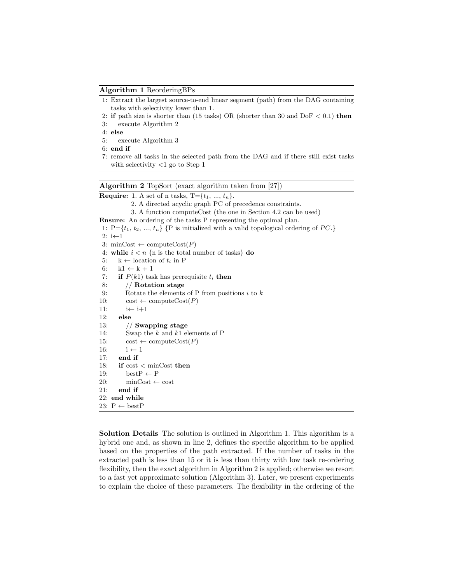#### Algorithm 1 ReorderingBPs

```
1: Extract the largest source-to-end linear segment (path) from the DAG containing
  tasks with selectivity lower than 1.
```
2: if path size is shorter than  $(15 \text{ tasks})$  OR (shorter than 30 and DoF  $< 0.1$ ) then

```
3: execute Algorithm 2
```
4: else

```
5: execute Algorithm 3
```
- 6: end if
- 7: remove all tasks in the selected path from the DAG and if there still exist tasks with selectivity <1 go to Step 1

Algorithm 2 TopSort (exact algorithm taken from [27])

**Require:** 1. A set of n tasks,  $T = \{t_1, ..., t_n\}$ .

2. A directed acyclic graph PC of precedence constraints.

3. A function computeCost (the one in Section 4.2 can be used)

Ensure: An ordering of the tasks P representing the optimal plan.

```
1: P = \{t_1, t_2, ..., t_n\} {P is initialized with a valid topological ordering of PC.}
```

```
2: i←1
```

```
3: minCost \leftarrow computeCost(P)
4: while i < n {n is the total number of tasks} do
```
- 5:  $k \leftarrow$  location of  $t_i$  in P
- 6:  $k1 \leftarrow k + 1$
- 7: if  $P(k1)$  task has prerequisite  $t_i$  then
- 8: // Rotation stage
- 9: Rotate the elements of P from positions  $i$  to  $k$
- 10:  $\text{cost} \leftarrow \text{computeCost}(P)$
- 11: i← i+1

```
12: else
```

```
13: // Swapping stage
```

```
14: Swap the k and k1 elements of P
```

```
15: \text{cost} \leftarrow \text{computeCost}(P)
```
16:  $i \leftarrow 1$ 

```
17: end if
```

```
18: if cost < minCost then
```

```
19: \text{bestP} \leftarrow \text{P}
```

```
20: \text{minCost} \leftarrow \text{cost}21: end if
```

```
22: end while
```

```
23: P \leftarrow bestP
```
Solution Details The solution is outlined in Algorithm 1. This algorithm is a hybrid one and, as shown in line 2, defines the specific algorithm to be applied based on the properties of the path extracted. If the number of tasks in the extracted path is less than 15 or it is less than thirty with low task re-ordering flexibility, then the exact algorithm in Algorithm 2 is applied; otherwise we resort to a fast yet approximate solution (Algorithm 3). Later, we present experiments to explain the choice of these parameters. The flexibility in the ordering of the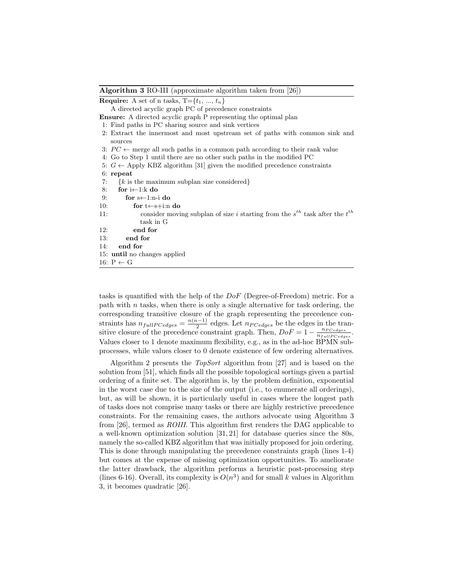Algorithm 3 RO-III (approximate algorithm taken from [26])

**Require:** A set of n tasks,  $T = \{t_1, ..., t_n\}$ 

A directed acyclic graph PC of precedence constraints

Ensure: A directed acyclic graph P representing the optimal plan

1: Find paths in PC sharing source and sink vertices

2: Extract the innermost and most upstream set of paths with common sink and sources

3:  $PC \leftarrow$  merge all such paths in a common path according to their rank value

4: Go to Step 1 until there are no other such paths in the modified PC

5:  $G \leftarrow$  Apply KBZ algorithm [31] given the modified precedence constraints

6: repeat

7:  $\{k \text{ is the maximum subplan size considered}\}\$ 

8: for i←1:k do

- 9: for  $s \leftarrow 1:n-i$  do
- 10: for  $t \leftarrow s + i: n$  do

11: consider moving subplan of size i starting from the  $s^{th}$  task after the  $t^{th}$ task in G

12: end for

13: end for

14: end for

15: until no changes applied

16:  $P \leftarrow G$ 

tasks is quantified with the help of the  $DoF$  (Degree-of-Freedom) metric. For a path with  $n$  tasks, when there is only a single alternative for task ordering, the corresponding transitive closure of the graph representing the precedence constraints has  $n_{full PCedges} = \frac{n(n-1)}{2}$  $\frac{1}{2}$  edges. Let  $n_{PCedges}$  be the edges in the transitive closure of the precedence constraint graph. Then,  $DoF = 1 - \frac{n_{PCedges}}{n_{Ceyl}}$  $\frac{n_{PCedges}}{n_{fullPCedges}}$ . Values closer to 1 denote maximum flexibility, e.g., as in the ad-hoc BPMN subprocesses, while values closer to 0 denote existence of few ordering alternatives.

Algorithm 2 presents the TopSort algorithm from [27] and is based on the solution from [51], which finds all the possible topological sortings given a partial ordering of a finite set. The algorithm is, by the problem definition, exponential in the worst case due to the size of the output (i.e., to enumerate all orderings), but, as will be shown, it is particularly useful in cases where the longest path of tasks does not comprise many tasks or there are highly restrictive precedence constraints. For the remaining cases, the authors advocate using Algorithm 3 from [26], termed as ROIII. This algorithm first renders the DAG applicable to a well-known optimization solution [31, 21] for database queries since the 80s, namely the so-called KBZ algorithm that was initially proposed for join ordering. This is done through manipulating the precedence constraints graph (lines 1-4) but comes at the expense of missing optimization opportunities. To ameliorate the latter drawback, the algorithm performs a heuristic post-processing step (lines 6-16). Overall, its complexity is  $O(n^3)$  and for small k values in Algorithm 3, it becomes quadratic [26].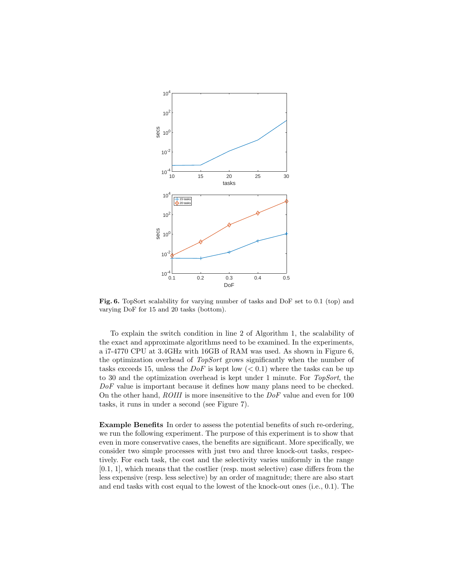

Fig. 6. TopSort scalability for varying number of tasks and DoF set to 0.1 (top) and varying DoF for 15 and 20 tasks (bottom).

To explain the switch condition in line 2 of Algorithm 1, the scalability of the exact and approximate algorithms need to be examined. In the experiments, a i7-4770 CPU at 3.4GHz with 16GB of RAM was used. As shown in Figure 6, the optimization overhead of TopSort grows significantly when the number of tasks exceeds 15, unless the  $DoF$  is kept low  $(< 0.1)$  where the tasks can be up to 30 and the optimization overhead is kept under 1 minute. For TopSort, the DoF value is important because it defines how many plans need to be checked. On the other hand, ROIII is more insensitive to the DoF value and even for 100 tasks, it runs in under a second (see Figure 7).

Example Benefits In order to assess the potential benefits of such re-ordering, we run the following experiment. The purpose of this experiment is to show that even in more conservative cases, the benefits are significant. More specifically, we consider two simple processes with just two and three knock-out tasks, respectively. For each task, the cost and the selectivity varies uniformly in the range [0.1, 1], which means that the costlier (resp. most selective) case differs from the less expensive (resp. less selective) by an order of magnitude; there are also start and end tasks with cost equal to the lowest of the knock-out ones (i.e., 0.1). The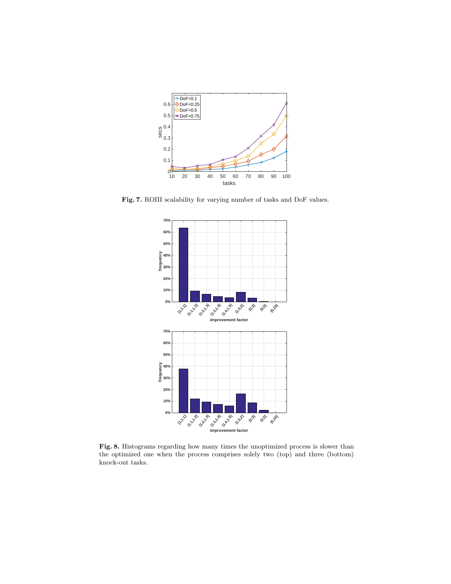

Fig. 7. ROIII scalability for varying number of tasks and DoF values.



Fig. 8. Histograms regarding how many times the unoptimized process is slower than the optimized one when the process comprises solely two (top) and three (bottom) knock-out tasks.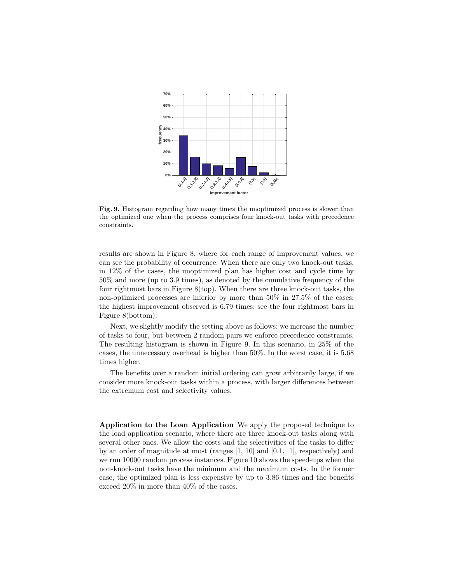

Fig. 9. Histogram regarding how many times the unoptimized process is slower than the optimized one when the process comprises four knock-out tasks with precedence constraints.

results are shown in Figure 8, where for each range of improvement values, we can see the probability of occurrence. When there are only two knock-out tasks, in 12% of the cases, the unoptimized plan has higher cost and cycle time by 50% and more (up to 3.9 times), as denoted by the cumulative frequency of the four rightmost bars in Figure 8(top). When there are three knock-out tasks, the non-optimized processes are inferior by more than 50% in 27.5% of the cases; the highest improvement observed is 6.79 times; see the four rightmost bars in Figure 8(bottom).

Next, we slightly modify the setting above as follows: we increase the number of tasks to four, but between 2 random pairs we enforce precedence constraints. The resulting histogram is shown in Figure 9. In this scenario, in 25% of the cases, the unnecessary overhead is higher than 50%. In the worst case, it is 5.68 times higher.

The benefits over a random initial ordering can grow arbitrarily large, if we consider more knock-out tasks within a process, with larger differences between the extremum cost and selectivity values.

Application to the Loan Application We apply the proposed technique to the load application scenario, where there are three knock-out tasks along with several other ones. We allow the costs and the selectivities of the tasks to differ by an order of magnitude at most (ranges  $[1, 10]$  and  $[0.1, 1]$ , respectively) and we run 10000 random process instances. Figure 10 shows the speed-ups when the non-knock-out tasks have the minimum and the maximum costs. In the former case, the optimized plan is less expensive by up to 3.86 times and the benefits exceed 20% in more than 40% of the cases.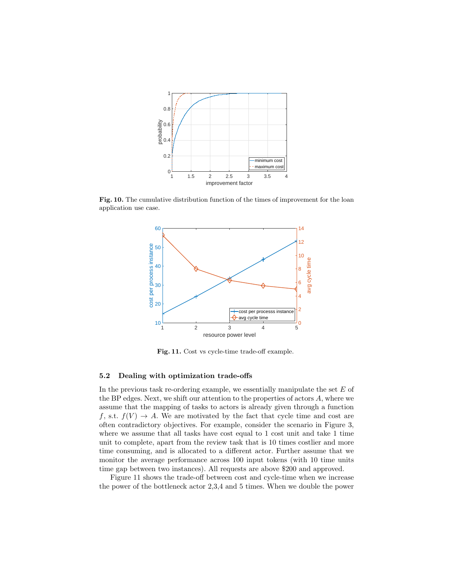

Fig. 10. The cumulative distribution function of the times of improvement for the loan application use case.



Fig. 11. Cost vs cycle-time trade-off example.

#### 5.2 Dealing with optimization trade-offs

In the previous task re-ordering example, we essentially manipulate the set  $E$  of the BP edges. Next, we shift our attention to the properties of actors A, where we assume that the mapping of tasks to actors is already given through a function f, s.t.  $f(V) \rightarrow A$ . We are motivated by the fact that cycle time and cost are often contradictory objectives. For example, consider the scenario in Figure 3, where we assume that all tasks have cost equal to 1 cost unit and take 1 time unit to complete, apart from the review task that is 10 times costlier and more time consuming, and is allocated to a different actor. Further assume that we monitor the average performance across 100 input tokens (with 10 time units time gap between two instances). All requests are above \$200 and approved.

Figure 11 shows the trade-off between cost and cycle-time when we increase the power of the bottleneck actor 2,3,4 and 5 times. When we double the power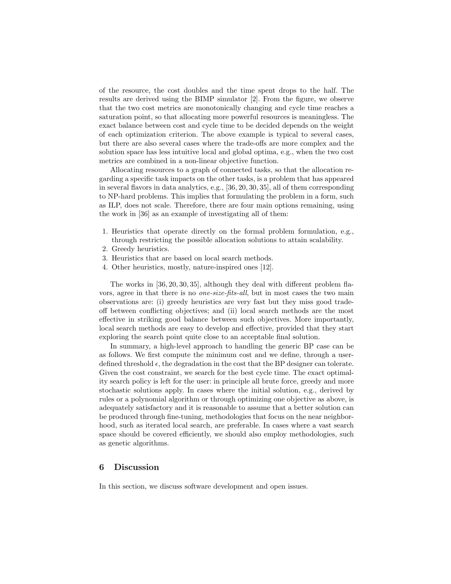of the resource, the cost doubles and the time spent drops to the half. The results are derived using the BIMP simulator [2]. From the figure, we observe that the two cost metrics are monotonically changing and cycle time reaches a saturation point, so that allocating more powerful resources is meaningless. The exact balance between cost and cycle time to be decided depends on the weight of each optimization criterion. The above example is typical to several cases, but there are also several cases where the trade-offs are more complex and the solution space has less intuitive local and global optima, e.g., when the two cost metrics are combined in a non-linear objective function.

Allocating resources to a graph of connected tasks, so that the allocation regarding a specific task impacts on the other tasks, is a problem that has appeared in several flavors in data analytics, e.g., [36, 20, 30, 35], all of them corresponding to NP-hard problems. This implies that formulating the problem in a form, such as ILP, does not scale. Therefore, there are four main options remaining, using the work in [36] as an example of investigating all of them:

- 1. Heuristics that operate directly on the formal problem formulation, e.g., through restricting the possible allocation solutions to attain scalability.
- 2. Greedy heuristics.
- 3. Heuristics that are based on local search methods.
- 4. Other heuristics, mostly, nature-inspired ones [12].

The works in [36, 20, 30, 35], although they deal with different problem flavors, agree in that there is no one-size-fits-all, but in most cases the two main observations are: (i) greedy heuristics are very fast but they miss good tradeoff between conflicting objectives; and (ii) local search methods are the most effective in striking good balance between such objectives. More importantly, local search methods are easy to develop and effective, provided that they start exploring the search point quite close to an acceptable final solution.

In summary, a high-level approach to handling the generic BP case can be as follows. We first compute the minimum cost and we define, through a userdefined threshold  $\epsilon$ , the degradation in the cost that the BP designer can tolerate. Given the cost constraint, we search for the best cycle time. The exact optimality search policy is left for the user: in principle all brute force, greedy and more stochastic solutions apply. In cases where the initial solution, e.g., derived by rules or a polynomial algorithm or through optimizing one objective as above, is adequately satisfactory and it is reasonable to assume that a better solution can be produced through fine-tuning, methodologies that focus on the near neighborhood, such as iterated local search, are preferable. In cases where a vast search space should be covered efficiently, we should also employ methodologies, such as genetic algorithms.

## 6 Discussion

In this section, we discuss software development and open issues.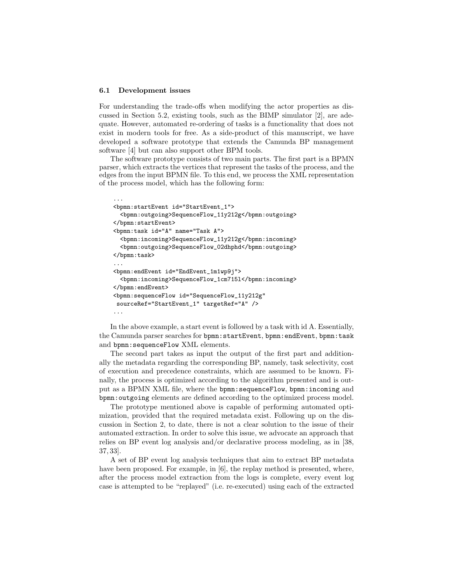#### 6.1 Development issues

For understanding the trade-offs when modifying the actor properties as discussed in Section 5.2, existing tools, such as the BIMP simulator [2], are adequate. However, automated re-ordering of tasks is a functionality that does not exist in modern tools for free. As a side-product of this manuscript, we have developed a software prototype that extends the Camunda BP management software [4] but can also support other BPM tools.

The software prototype consists of two main parts. The first part is a BPMN parser, which extracts the vertices that represent the tasks of the process, and the edges from the input BPMN file. To this end, we process the XML representation of the process model, which has the following form:

```
...
<bpmn:startEvent id="StartEvent_1">
  <bpmn:outgoing>SequenceFlow_11y212g</bpmn:outgoing>
</bpmn:startEvent>
<bpmn:task id="A" name="Task A">
  <bpmn:incoming>SequenceFlow_11y212g</bpmn:incoming>
  <bpmn:outgoing>SequenceFlow_02dhphd</bpmn:outgoing>
</bpmn:task>
...
<bpmn:endEvent id="EndEvent_1m1wp9j">
  <bpmn:incoming>SequenceFlow_1cm715l</bpmn:incoming>
</bpmn:endEvent>
<bpmn:sequenceFlow id="SequenceFlow_11y212g"
sourceRef="StartEvent_1" targetRef="A" />
...
```
In the above example, a start event is followed by a task with id A. Essentially, the Camunda parser searches for bpmn:startEvent, bpmn:endEvent, bpmn:task and bpmn:sequenceFlow XML elements.

The second part takes as input the output of the first part and additionally the metadata regarding the corresponding BP, namely, task selectivity, cost of execution and precedence constraints, which are assumed to be known. Finally, the process is optimized according to the algorithm presented and is output as a BPMN XML file, where the bpmn:sequenceFlow, bpmn:incoming and bpmn:outgoing elements are defined according to the optimized process model.

The prototype mentioned above is capable of performing automated optimization, provided that the required metadata exist. Following up on the discussion in Section 2, to date, there is not a clear solution to the issue of their automated extraction. In order to solve this issue, we advocate an approach that relies on BP event log analysis and/or declarative process modeling, as in [38, 37, 33].

A set of BP event log analysis techniques that aim to extract BP metadata have been proposed. For example, in [6], the replay method is presented, where, after the process model extraction from the logs is complete, every event log case is attempted to be "replayed" (i.e. re-executed) using each of the extracted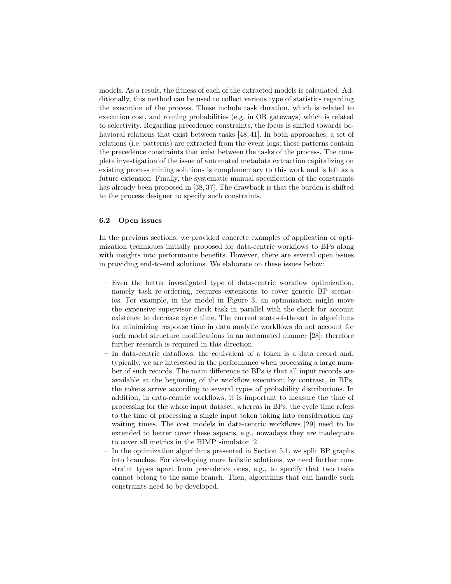models. As a result, the fitness of each of the extracted models is calculated. Additionally, this method can be used to collect various type of statistics regarding the execution of the process. These include task duration, which is related to execution cost, and routing probabilities (e.g. in OR gateways) which is related to selectivity. Regarding precedence constraints, the focus is shifted towards behavioral relations that exist between tasks [48, 41]. In both approaches, a set of relations (i.e. patterns) are extracted from the event logs; these patterns contain the precedence constraints that exist between the tasks of the process. The complete investigation of the issue of automated metadata extraction capitalizing on existing process mining solutions is complementary to this work and is left as a future extension. Finally, the systematic manual specification of the constraints has already been proposed in [38, 37]. The drawback is that the burden is shifted to the process designer to specify such constraints.

#### 6.2 Open issues

In the previous sections, we provided concrete examples of application of optimization techniques initially proposed for data-centric workflows to BPs along with insights into performance benefits. However, there are several open issues in providing end-to-end solutions. We elaborate on these issues below:

- Even the better investigated type of data-centric workflow optimization, namely task re-ordering, requires extensions to cover generic BP scenarios. For example, in the model in Figure 3, an optimization might move the expensive supervisor check task in parallel with the check for account existence to decrease cycle time. The current state-of-the-art in algorithms for minimizing response time in data analytic workflows do not account for such model structure modifications in an automated manner [28]; therefore further research is required in this direction.
- In data-centric dataflows, the equivalent of a token is a data record and, typically, we are interested in the performance when processing a large number of such records. The main difference to BPs is that all input records are available at the beginning of the workflow execution; by contrast, in BPs, the tokens arrive according to several types of probability distributions. In addition, in data-centric workflows, it is important to measure the time of processing for the whole input dataset, whereas in BPs, the cycle time refers to the time of processing a single input token taking into consideration any waiting times. The cost models in data-centric workflows [29] need to be extended to better cover these aspects, e.g., nowadays they are inadequate to cover all metrics in the BIMP simulator [2].
- In the optimization algorithms presented in Section 5.1, we split BP graphs into branches. For developing more holistic solutions, we need further constraint types apart from precedence ones, e.g., to specify that two tasks cannot belong to the same branch. Then, algorithms that can handle such constraints need to be developed.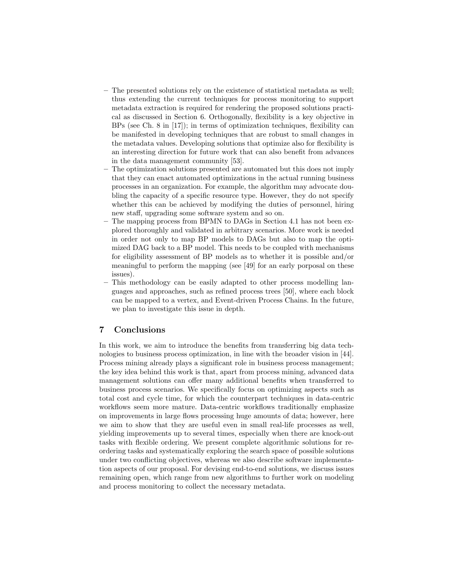- The presented solutions rely on the existence of statistical metadata as well; thus extending the current techniques for process monitoring to support metadata extraction is required for rendering the proposed solutions practical as discussed in Section 6. Orthogonally, flexibility is a key objective in BPs (see Ch. 8 in [17]); in terms of optimization techniques, flexibility can be manifested in developing techniques that are robust to small changes in the metadata values. Developing solutions that optimize also for flexibility is an interesting direction for future work that can also benefit from advances in the data management community [53].
- The optimization solutions presented are automated but this does not imply that they can enact automated optimizations in the actual running business processes in an organization. For example, the algorithm may advocate doubling the capacity of a specific resource type. However, they do not specify whether this can be achieved by modifying the duties of personnel, hiring new staff, upgrading some software system and so on.
- The mapping process from BPMN to DAGs in Section 4.1 has not been explored thoroughly and validated in arbitrary scenarios. More work is needed in order not only to map BP models to DAGs but also to map the optimized DAG back to a BP model. This needs to be coupled with mechanisms for eligibility assessment of BP models as to whether it is possible and/or meaningful to perform the mapping (see [49] for an early porposal on these issues).
- This methodology can be easily adapted to other process modelling languages and approaches, such as refined process trees [50], where each block can be mapped to a vertex, and Event-driven Process Chains. In the future, we plan to investigate this issue in depth.

# 7 Conclusions

In this work, we aim to introduce the benefits from transferring big data technologies to business process optimization, in line with the broader vision in [44]. Process mining already plays a significant role in business process management; the key idea behind this work is that, apart from process mining, advanced data management solutions can offer many additional benefits when transferred to business process scenarios. We specifically focus on optimizing aspects such as total cost and cycle time, for which the counterpart techniques in data-centric workflows seem more mature. Data-centric workflows traditionally emphasize on improvements in large flows processing huge amounts of data; however, here we aim to show that they are useful even in small real-life processes as well, yielding improvements up to several times, especially when there are knock-out tasks with flexible ordering. We present complete algorithmic solutions for reordering tasks and systematically exploring the search space of possible solutions under two conflicting objectives, whereas we also describe software implementation aspects of our proposal. For devising end-to-end solutions, we discuss issues remaining open, which range from new algorithms to further work on modeling and process monitoring to collect the necessary metadata.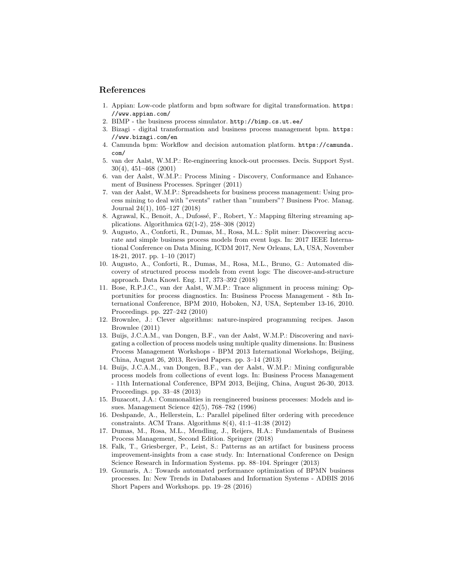## References

- 1. Appian: Low-code platform and bpm software for digital transformation. https: //www.appian.com/
- 2. BIMP the business process simulator. http://bimp.cs.ut.ee/
- 3. Bizagi digital transformation and business process management bpm. https: //www.bizagi.com/en
- 4. Camunda bpm: Workflow and decision automation platform. https://camunda. com/
- 5. van der Aalst, W.M.P.: Re-engineering knock-out processes. Decis. Support Syst. 30(4), 451–468 (2001)
- 6. van der Aalst, W.M.P.: Process Mining Discovery, Conformance and Enhancement of Business Processes. Springer (2011)
- 7. van der Aalst, W.M.P.: Spreadsheets for business process management: Using process mining to deal with "events" rather than "numbers"? Business Proc. Manag. Journal 24(1), 105–127 (2018)
- 8. Agrawal, K., Benoit, A., Dufossé, F., Robert, Y.: Mapping filtering streaming applications. Algorithmica 62(1-2), 258–308 (2012)
- 9. Augusto, A., Conforti, R., Dumas, M., Rosa, M.L.: Split miner: Discovering accurate and simple business process models from event logs. In: 2017 IEEE International Conference on Data Mining, ICDM 2017, New Orleans, LA, USA, November 18-21, 2017. pp. 1–10 (2017)
- 10. Augusto, A., Conforti, R., Dumas, M., Rosa, M.L., Bruno, G.: Automated discovery of structured process models from event logs: The discover-and-structure approach. Data Knowl. Eng. 117, 373–392 (2018)
- 11. Bose, R.P.J.C., van der Aalst, W.M.P.: Trace alignment in process mining: Opportunities for process diagnostics. In: Business Process Management - 8th International Conference, BPM 2010, Hoboken, NJ, USA, September 13-16, 2010. Proceedings. pp. 227–242 (2010)
- 12. Brownlee, J.: Clever algorithms: nature-inspired programming recipes. Jason Brownlee (2011)
- 13. Buijs, J.C.A.M., van Dongen, B.F., van der Aalst, W.M.P.: Discovering and navigating a collection of process models using multiple quality dimensions. In: Business Process Management Workshops - BPM 2013 International Workshops, Beijing, China, August 26, 2013, Revised Papers. pp. 3–14 (2013)
- 14. Buijs, J.C.A.M., van Dongen, B.F., van der Aalst, W.M.P.: Mining configurable process models from collections of event logs. In: Business Process Management - 11th International Conference, BPM 2013, Beijing, China, August 26-30, 2013. Proceedings. pp. 33–48 (2013)
- 15. Buzacott, J.A.: Commonalities in reengineered business processes: Models and issues. Management Science 42(5), 768–782 (1996)
- 16. Deshpande, A., Hellerstein, L.: Parallel pipelined filter ordering with precedence constraints. ACM Trans. Algorithms 8(4), 41:1–41:38 (2012)
- 17. Dumas, M., Rosa, M.L., Mendling, J., Reijers, H.A.: Fundamentals of Business Process Management, Second Edition. Springer (2018)
- 18. Falk, T., Griesberger, P., Leist, S.: Patterns as an artifact for business process improvement-insights from a case study. In: International Conference on Design Science Research in Information Systems. pp. 88–104. Springer (2013)
- 19. Gounaris, A.: Towards automated performance optimization of BPMN business processes. In: New Trends in Databases and Information Systems - ADBIS 2016 Short Papers and Workshops. pp. 19–28 (2016)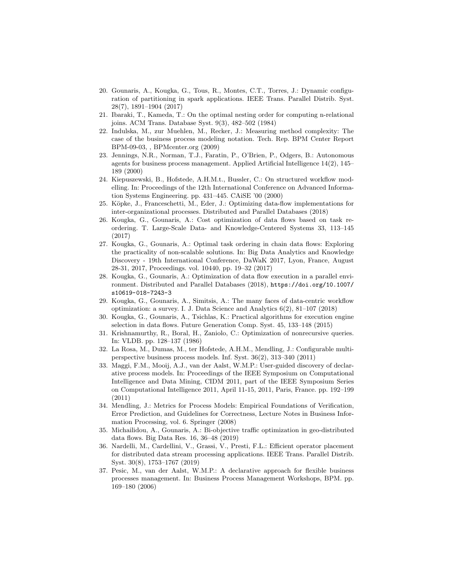- 20. Gounaris, A., Kougka, G., Tous, R., Montes, C.T., Torres, J.: Dynamic configuration of partitioning in spark applications. IEEE Trans. Parallel Distrib. Syst. 28(7), 1891–1904 (2017)
- 21. Ibaraki, T., Kameda, T.: On the optimal nesting order for computing n-relational joins. ACM Trans. Database Syst. 9(3), 482–502 (1984)
- 22. Indulska, M., zur Muehlen, M., Recker, J.: Measuring method complexity: The case of the business process modeling notation. Tech. Rep. BPM Center Report BPM-09-03, , BPMcenter.org (2009)
- 23. Jennings, N.R., Norman, T.J., Faratin, P., O'Brien, P., Odgers, B.: Autonomous agents for business process management. Applied Artificial Intelligence 14(2), 145– 189 (2000)
- 24. Kiepuszewski, B., Hofstede, A.H.M.t., Bussler, C.: On structured workflow modelling. In: Proceedings of the 12th International Conference on Advanced Information Systems Engineering. pp. 431–445. CAiSE '00 (2000)
- 25. Köpke, J., Franceschetti, M., Eder, J.: Optimizing data-flow implementations for inter-organizational processes. Distributed and Parallel Databases (2018)
- 26. Kougka, G., Gounaris, A.: Cost optimization of data flows based on task reordering. T. Large-Scale Data- and Knowledge-Centered Systems 33, 113–145 (2017)
- 27. Kougka, G., Gounaris, A.: Optimal task ordering in chain data flows: Exploring the practicality of non-scalable solutions. In: Big Data Analytics and Knowledge Discovery - 19th International Conference, DaWaK 2017, Lyon, France, August 28-31, 2017, Proceedings. vol. 10440, pp. 19–32 (2017)
- 28. Kougka, G., Gounaris, A.: Optimization of data flow execution in a parallel environment. Distributed and Parallel Databases (2018), https://doi.org/10.1007/ s10619-018-7243-3
- 29. Kougka, G., Gounaris, A., Simitsis, A.: The many faces of data-centric workflow optimization: a survey. I. J. Data Science and Analytics 6(2), 81–107 (2018)
- 30. Kougka, G., Gounaris, A., Tsichlas, K.: Practical algorithms for execution engine selection in data flows. Future Generation Comp. Syst. 45, 133–148 (2015)
- 31. Krishnamurthy, R., Boral, H., Zaniolo, C.: Optimization of nonrecursive queries. In: VLDB. pp. 128–137 (1986)
- 32. La Rosa, M., Dumas, M., ter Hofstede, A.H.M., Mendling, J.: Configurable multiperspective business process models. Inf. Syst. 36(2), 313–340 (2011)
- 33. Maggi, F.M., Mooij, A.J., van der Aalst, W.M.P.: User-guided discovery of declarative process models. In: Proceedings of the IEEE Symposium on Computational Intelligence and Data Mining, CIDM 2011, part of the IEEE Symposium Series on Computational Intelligence 2011, April 11-15, 2011, Paris, France. pp. 192–199 (2011)
- 34. Mendling, J.: Metrics for Process Models: Empirical Foundations of Verification, Error Prediction, and Guidelines for Correctness, Lecture Notes in Business Information Processing, vol. 6. Springer (2008)
- 35. Michailidou, A., Gounaris, A.: Bi-objective traffic optimization in geo-distributed data flows. Big Data Res. 16, 36–48 (2019)
- 36. Nardelli, M., Cardellini, V., Grassi, V., Presti, F.L.: Efficient operator placement for distributed data stream processing applications. IEEE Trans. Parallel Distrib. Syst. 30(8), 1753–1767 (2019)
- 37. Pesic, M., van der Aalst, W.M.P.: A declarative approach for flexible business processes management. In: Business Process Management Workshops, BPM. pp. 169–180 (2006)